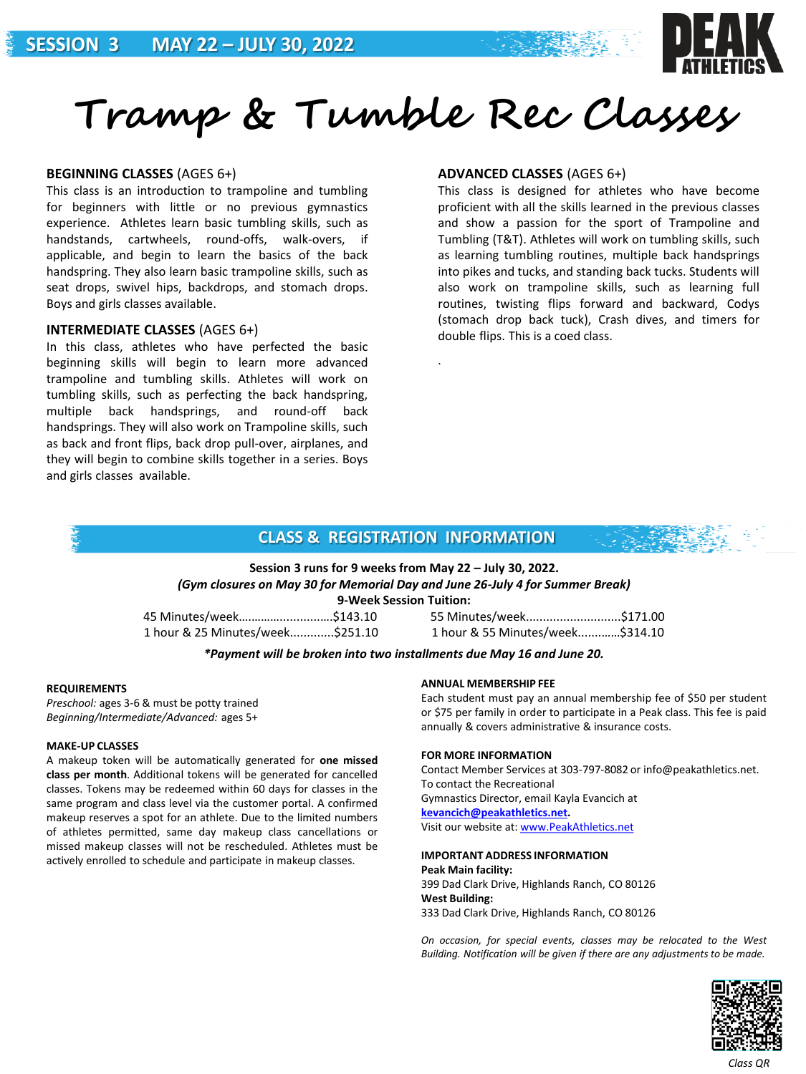

# **Tramp & Tumble Rec Classes**

#### **BEGINNING CLASSES** (AGES 6+)

This class is an introduction to trampoline and tumbling for beginners with little or no previous gymnastics experience. Athletes learn basic tumbling skills, such as handstands, cartwheels, round-offs, walk-overs, if applicable, and begin to learn the basics of the back handspring. They also learn basic trampoline skills, such as seat drops, swivel hips, backdrops, and stomach drops. Boys and girls classes available.

### **INTERMEDIATE CLASSES** (AGES 6+)

In this class, athletes who have perfected the basic beginning skills will begin to learn more advanced trampoline and tumbling skills. Athletes will work on tumbling skills, such as perfecting the back handspring, multiple back handsprings, and round-off back handsprings. They will also work on Trampoline skills, such as back and front flips, back drop pull-over, airplanes, and they will begin to combine skills together in a series. Boys and girls classes available.

### **ADVANCED CLASSES** (AGES 6+)

This class is designed for athletes who have become proficient with all the skills learned in the previous classes and show a passion for the sport of Trampoline and Tumbling (T&T). Athletes will work on tumbling skills, such as learning tumbling routines, multiple back handsprings into pikes and tucks, and standing back tucks. Students will also work on trampoline skills, such as learning full routines, twisting flips forward and backward, Codys (stomach drop back tuck), Crash dives, and timers for double flips. This is a coed class.

## **CLASS & REGISTRATION INFORMATION**

.

# **Session 3 runs for 9 weeks from May 22 – July 30, 2022.** *(Gym closures on May 30 for Memorial Day and June 26-July 4 for Summer Break)*

**9-Week Session Tuition:** 

1 hour & 25 Minutes/week.............\$251.10 1 hour & 55 Minutes/week.......……\$314.10

45 Minutes/week….………............….\$143.10 55 Minutes/week............................\$171.00

#### *\*Payment will be broken into two installments due May 16 and June 20.*

#### **REQUIREMENTS**

*Preschool:* ages 3-6 & must be potty trained *Beginning/Intermediate/Advanced:* ages 5+

#### **MAKE-UP CLASSES**

A makeup token will be automatically generated for **one missed class per month**. Additional tokens will be generated for cancelled classes. Tokens may be redeemed within 60 days for classes in the same program and class level via the customer portal. A confirmed makeup reserves a spot for an athlete. Due to the limited numbers of athletes permitted, same day makeup class cancellations or missed makeup classes will not be rescheduled. Athletes must be actively enrolled to schedule and participate in makeup classes.

#### **ANNUAL MEMBERSHIP FEE**

Each student must pay an annual membership fee of \$50 per student or \$75 per family in order to participate in a Peak class. This fee is paid annually & covers administrative & insurance costs.

#### **FOR MORE INFORMATION**

Contact Member Services at 303-797-8082 or info@peakathletics.net. To contact the Recreational Gymnastics Director, email Kayla Evancich at

**[kevancich@peakathletics.net](mailto:kevancich@peakathletics.net).**

Visit our website at: [www.PeakAthletics.net](http://www.peakathletics.net/)

#### **IMPORTANT ADDRESS INFORMATION**

#### **Peak Main facility:**

399 Dad Clark Drive, Highlands Ranch, CO 80126 **West Building:**

333 Dad Clark Drive, Highlands Ranch, CO 80126

*On occasion, for special events, classes may be relocated to the West Building. Notification will be given if there are any adjustments to be made.*